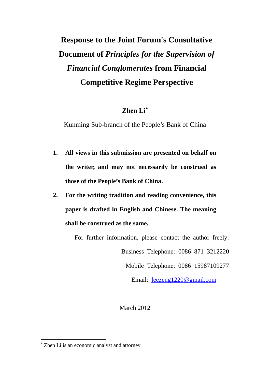# **Response to the Joint Forum's Consultative Document of** *Principles for the Supervision of Financial Conglomerates* **from Financial Competitive Regime Perspective**

### **Zhen Li**

Kunming Sub-branch of the People's Bank of China

- **1. All views in this submission are presented on behalf on the writer, and may not necessarily be construed as those of the People's Bank of China.**
- **2. For the writing tradition and reading convenience, this paper is drafted in English and Chinese. The meaning shall be construed as the same.**

For further information, please contact the author freely:

Business Telephone: 0086 871 3212220

Mobile Telephone: 0086 15987109277

Email: [leezeng1220@gmail.com](mailto:leezeng1220@gmail.com)

March 2012

<span id="page-0-0"></span> Zhen Li is an economic analyst and attorney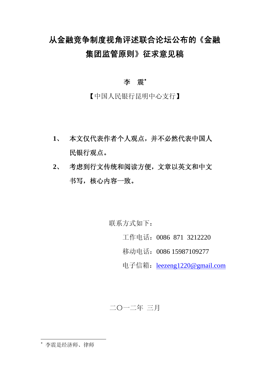# 从金融竞争制度视角评述联合论坛公布的《金融 集团监管原则》征求意见稿

#### 李 震\*

【中国人民银行昆明中心支行】

- **1**、 本文仅代表作者个人观点,并不必然代表中国人 民银行观点。
- **2**、 考虑到行文传统和阅读方便,文章以英文和中文 书写,核心内容一致。

联系方式如下:

工作电话:0086 871 3212220

移动电话:0086 15987109277

电子信箱: leezeng1220@gmail.com

二〇一二年 三月

<span id="page-1-0"></span>李震是经济师、律师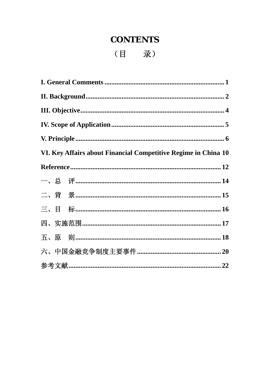## **CONTENTS**

(目 录)

|  |  | VI. Key Affairs about Financial Competitive Regime in China 10 |  |
|--|--|----------------------------------------------------------------|--|
|  |  |                                                                |  |
|  |  |                                                                |  |
|  |  |                                                                |  |
|  |  |                                                                |  |
|  |  |                                                                |  |
|  |  | 五、原 则………………………………………………………………………………18                          |  |
|  |  |                                                                |  |
|  |  |                                                                |  |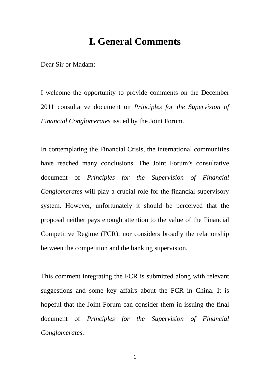## **I. General Comments**

<span id="page-3-0"></span>Dear Sir or Madam:

I welcome the opportunity to provide comments on the December 2011 consultative document on *Principles for the Supervision of Financial Conglomerates* issued by the Joint Forum.

In contemplating the Financial Crisis, the international communities have reached many conclusions. The Joint Forum's consultative document of *Principles for the Supervision of Financial Conglomerates* will play a crucial role for the financial supervisory system. However, unfortunately it should be perceived that the proposal neither pays enough attention to the value of the Financial Competitive Regime (FCR), nor considers broadly the relationship between the competition and the banking supervision.

This comment integrating the FCR is submitted along with relevant suggestions and some key affairs about the FCR in China. It is hopeful that the Joint Forum can consider them in issuing the final document of *Principles for the Supervision of Financial Conglomerates*.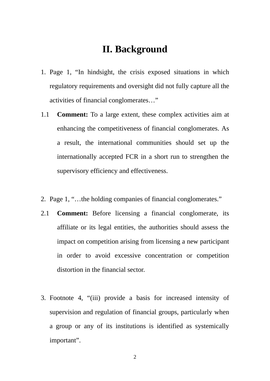## **II. Background**

- <span id="page-4-0"></span>1. Page 1, "In hindsight, the crisis exposed situations in which regulatory requirements and oversight did not fully capture all the activities of financial conglomerates…"
- 1.1 **Comment:** To a large extent, these complex activities aim at enhancing the competitiveness of financial conglomerates. As a result, the international communities should set up the internationally accepted FCR in a short run to strengthen the supervisory efficiency and effectiveness.
- 2. Page 1, "…the holding companies of financial conglomerates."
- 2.1 **Comment:** Before licensing a financial conglomerate, its affiliate or its legal entities, the authorities should assess the impact on competition arising from licensing a new participant in order to avoid excessive concentration or competition distortion in the financial sector.
- 3. Footnote 4, "(iii) provide a basis for increased intensity of supervision and regulation of financial groups, particularly when a group or any of its institutions is identified as systemically important".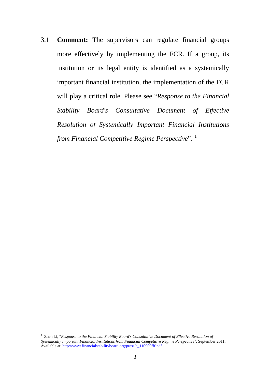3.1 **Comment:** The supervisors can regulate financial groups more effectively by implementing the FCR. If a group, its institution or its legal entity is identified as a systemically important financial institution, the implementation of the FCR will play a critical role. Please see "*Response to the Financial Stability Board's Consultative Document of Effective Resolution of Systemically Important Financial Institutions from Financial Competitive Regime Perspective*". [1](#page-5-0)

<span id="page-5-0"></span><sup>&</sup>lt;sup>1</sup> Zhen Li, "*Response to the Financial Stability Board's Consultative Document of Effective Resolution of Systemically Important Financial Institutions from Financial Competitive Regime Perspective*", September 2011. Available at: [http://www.financialstabilityboard.org/press/c\\_110909fff.pdf](http://www.financialstabilityboard.org/press/c_110909fff.pdf)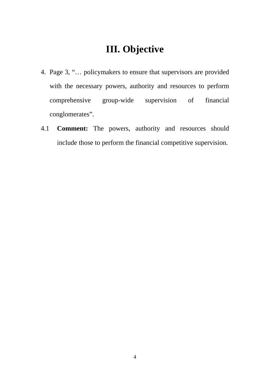# **III. Objective**

- <span id="page-6-0"></span>4. Page 3, "… policymakers to ensure that supervisors are provided with the necessary powers, authority and resources to perform comprehensive group-wide supervision of financial conglomerates".
- 4.1 **Comment:** The powers, authority and resources should include those to perform the financial competitive supervision.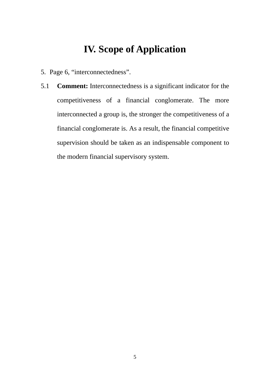## **IV. Scope of Application**

- <span id="page-7-0"></span>5. Page 6, "interconnectedness".
- 5.1 **Comment:** Interconnectedness is a significant indicator for the competitiveness of a financial conglomerate. The more interconnected a group is, the stronger the competitiveness of a financial conglomerate is. As a result, the financial competitive supervision should be taken as an indispensable component to the modern financial supervisory system.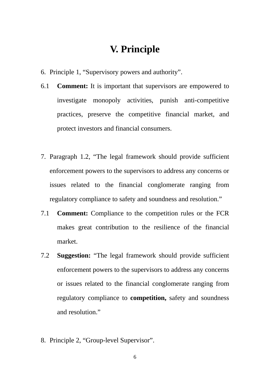## **V. Principle**

- <span id="page-8-0"></span>6. Principle 1, "Supervisory powers and authority".
- 6.1 **Comment:** It is important that supervisors are empowered to investigate monopoly activities, punish anti-competitive practices, preserve the competitive financial market, and protect investors and financial consumers.
- 7. Paragraph 1.2, "The legal framework should provide sufficient enforcement powers to the supervisors to address any concerns or issues related to the financial conglomerate ranging from regulatory compliance to safety and soundness and resolution."
- 7.1 **Comment:** Compliance to the competition rules or the FCR makes great contribution to the resilience of the financial market.
- 7.2 **Suggestion:** "The legal framework should provide sufficient enforcement powers to the supervisors to address any concerns or issues related to the financial conglomerate ranging from regulatory compliance to **competition,** safety and soundness and resolution."
- 8. Principle 2, "Group-level Supervisor".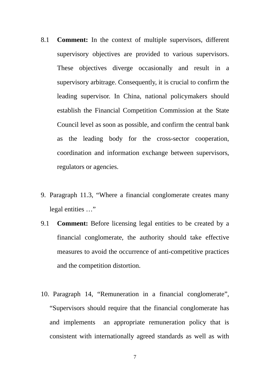- 8.1 **Comment:** In the context of multiple supervisors, different supervisory objectives are provided to various supervisors. These objectives diverge occasionally and result in a supervisory arbitrage. Consequently, it is crucial to confirm the leading supervisor. In China, national policymakers should establish the Financial Competition Commission at the State Council level as soon as possible, and confirm the central bank as the leading body for the cross-sector cooperation, coordination and information exchange between supervisors, regulators or agencies.
- 9. Paragraph 11.3, "Where a financial conglomerate creates many legal entities …"
- 9.1 **Comment:** Before licensing legal entities to be created by a financial conglomerate, the authority should take effective measures to avoid the occurrence of anti-competitive practices and the competition distortion.
- 10. Paragraph 14, "Remuneration in a financial conglomerate", "Supervisors should require that the financial conglomerate has and implements an appropriate remuneration policy that is consistent with internationally agreed standards as well as with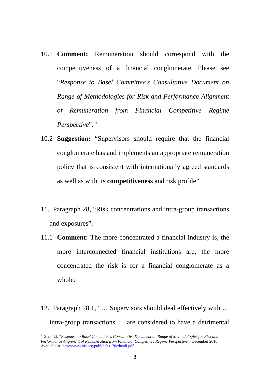- 10.1 **Comment:** Remuneration should correspond with the competitiveness of a financial conglomerate. Please see "*Response to Basel Committee's Consultative Document on Range of Methodologies for Risk and Performance Alignment of Remuneration from Financial Competitive Regime Perspective*". [2](#page-10-0)
- 10.2 **Suggestion:** "Supervisors should require that the financial conglomerate has and implements an appropriate remuneration policy that is consistent with internationally agreed standards as well as with its **competitiveness** and risk profile"
- 11. Paragraph 28, "Risk concentrations and intra-group transactions and exposures".
- 11.1 **Comment:** The more concentrated a financial industry is, the more interconnected financial institutions are, the more concentrated the risk is for a financial conglomerate as a whole.
- 12. Paragraph 28.1, "… Supervisors should deal effectively with … intra-group transactions … are considered to have a detrimental

<span id="page-10-0"></span><sup>2</sup> Zhen Li, "*Response to Basel Committee's Consultative Document on Range of Methodologies for Risk and Performance Alignment of Remuneration from Financial Competitive Regime Perspective*", December 2010. Available at: <http://www.bis.org/publ/bcbs178/zhenli.pdf>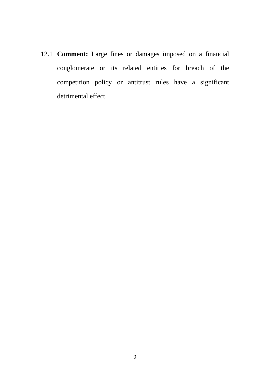12.1 **Comment:** Large fines or damages imposed on a financial conglomerate or its related entities for breach of the competition policy or antitrust rules have a significant detrimental effect.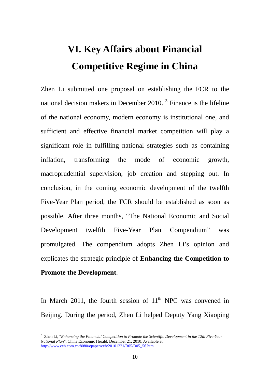# **VI. Key Affairs about Financial Competitive Regime in China**

<span id="page-12-0"></span>Zhen Li submitted one proposal on establishing the FCR to the national decision makers in December 2010.<sup>[3](#page-12-1)</sup> Finance is the lifeline of the national economy, modern economy is institutional one, and sufficient and effective financial market competition will play a significant role in fulfilling national strategies such as containing inflation, transforming the mode of economic growth, macroprudential supervision, job creation and stepping out. In conclusion, in the coming economic development of the twelfth Five-Year Plan period, the FCR should be established as soon as possible. After three months, "The National Economic and Social Development twelfth Five-Year Plan Compendium" was promulgated. The compendium adopts Zhen Li's opinion and explicates the strategic principle of **Enhancing the Competition to Promote the Development**.

In March 2011, the fourth session of  $11<sup>th</sup>$  NPC was convened in Beijing. During the period, Zhen Li helped Deputy Yang Xiaoping

<span id="page-12-1"></span><sup>3</sup> Zhen Li, "*Enhancing the Financial Competition to Promote the Scientific Development in the 12th Five-Year National Plan*", China Economic Herald, December 21, 2010. Available at: http://www.ceh.com.cn:8080/epaper/ceh/20101221/B05/B05\_56.htm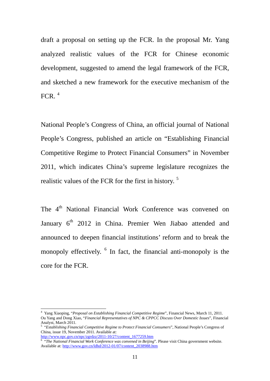draft a proposal on setting up the FCR. In the proposal Mr. Yang analyzed realistic values of the FCR for Chinese economic development, suggested to amend the legal framework of the FCR, and sketched a new framework for the executive mechanism of the FCR.  $<sup>4</sup>$  $<sup>4</sup>$  $<sup>4</sup>$ </sup>

National People's Congress of China, an official journal of National People's Congress, published an article on "Establishing Financial Competitive Regime to Protect Financial Consumers" in November 2011, which indicates China's supreme legislature recognizes the realistic values of the FCR for the first in history.<sup>[5](#page-13-1)</sup>

The 4<sup>th</sup> National Financial Work Conference was convened on January 6<sup>th</sup> 2012 in China. Premier Wen Jiabao attended and announced to deepen financial institutions' reform and to break the monopoly effectively. <sup>[6](#page-13-2)</sup> In fact, the financial anti-monopoly is the core for the FCR.

<span id="page-13-0"></span><sup>4</sup> Yang Xiaoping, "*Proposal on Establishing Financial Competitive Regim*e", Financial News, March 11, 2011. Ou Yang and Dong Xiao, "*Financial Representatives of NPC & CPPCC Discuss Over Domestic Issues*", Financial Analyst, March 2011. 5 "*Establishing Financial Competitive Regime to Protect Financial Consumers*", National People's Congress of

<span id="page-13-1"></span>China*,* issue 19, November 2011. Available at: [http://www.npc.gov.cn/npc/zgrdzz/2011-10/27/content\\_1677259.htm](http://www.npc.gov.cn/npc/zgrdzz/2011-10/27/content_1677259.htm) <sup>6</sup>

<span id="page-13-2"></span><sup>&</sup>lt;sup>6</sup> "The National Financial Work Conference was convened in Beijing". Please visit China government website.

Available at: [http://www.gov.cn/ldhd/2012-01/07/content\\_2038988.htm](http://www.gov.cn/ldhd/2012-01/07/content_2038988.htm)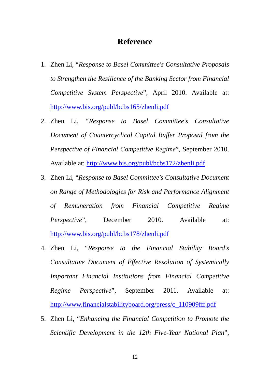#### **Reference**

- <span id="page-14-0"></span>1. Zhen Li, "*Response to Basel Committee's Consultative Proposals to Strengthen the Resilience of the Banking Sector from Financial Competitive System Perspective*", April 2010. Available at: <http://www.bis.org/publ/bcbs165/zhenli.pdf>
- 2. Zhen Li, *"Response to Basel Committee's Consultative Document of Countercyclical Capital Buffer Proposal from the Perspective of Financial Competitive Regime*", September 2010. Available at: <http://www.bis.org/publ/bcbs172/zhenli.pdf>
- 3. Zhen Li, "*Response to Basel Committee's Consultative Document on Range of Methodologies for Risk and Performance Alignment of Remuneration from Financial Competitive Regime Perspective*", December 2010. Available at: <http://www.bis.org/publ/bcbs178/zhenli.pdf>
- 4. Zhen Li, "*Response to the Financial Stability Board's Consultative Document of Effective Resolution of Systemically Important Financial Institutions from Financial Competitive Regime Perspective*", September 2011. Available at: [http://www.financialstabilityboard.org/press/c\\_110909fff.pdf](http://www.financialstabilityboard.org/press/c_110909fff.pdf)
- 5. Zhen Li, "*Enhancing the Financial Competition to Promote the Scientific Development in the 12th Five-Year National Plan*",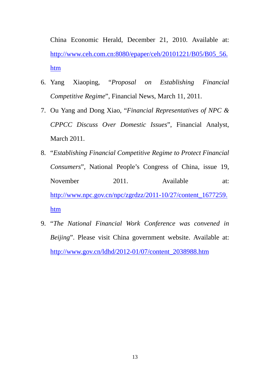China Economic Herald, December 21, 2010. Available at: http://www.ceh.com.cn:8080/epaper/ceh/20101221/B05/B05\_56. htm

- 6. Yang Xiaoping, "*Proposal on Establishing Financial Competitive Regime*", Financial News, March 11, 2011.
- 7. Ou Yang and Dong Xiao, "*Financial Representatives of NPC & CPPCC Discuss Over Domestic Issues*", Financial Analyst, March 2011.
- 8. "*Establishing Financial Competitive Regime to Protect Financial Consumers*", National People's Congress of China*,* issue 19, November 2011. Available at: [http://www.npc.gov.cn/npc/zgrdzz/2011-10/27/content\\_1677259.](http://www.npc.gov.cn/npc/zgrdzz/2011-10/27/content_1677259.htm) [htm](http://www.npc.gov.cn/npc/zgrdzz/2011-10/27/content_1677259.htm)
- 9. "*The National Financial Work Conference was convened in Beijing*". Please visit China government website. Available at: [http://www.gov.cn/ldhd/2012-01/07/content\\_2038988.htm](http://www.gov.cn/ldhd/2012-01/07/content_2038988.htm)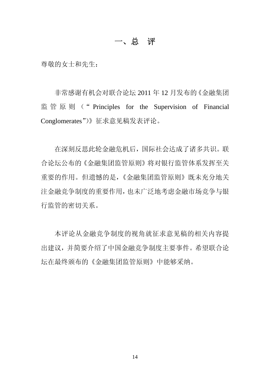### 一、总 评

<span id="page-16-0"></span>尊敬的女士和先生:

非常感谢有机会对联合论坛 2011 年 12 月发布的《金融集团 监 管 原 则 (" Principles for the Supervision of Financial Conglomerates")》征求意见稿发表评论。

在深刻反思此轮金融危机后,国际社会达成了诸多共识。联 合论坛公布的《金融集团监管原则》将对银行监管体系发挥至关 重要的作用。但遗憾的是,《金融集团监管原则》既未充分地关 注金融竞争制度的重要作用,也未广泛地考虑金融市场竞争与银 行监管的密切关系。

本评论从金融竞争制度的视角就征求意见稿的相关内容提 出建议,并简要介绍了中国金融竞争制度主要事件。希望联合论 坛在最终颁布的《金融集团监管原则》中能够采纳。

14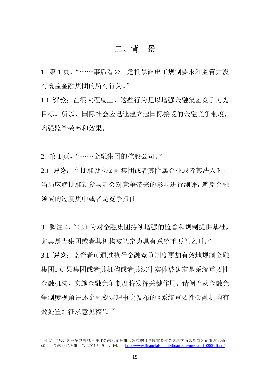### 二、背 景

<span id="page-17-0"></span>1. 第 1 页, "……事后看来, 危机暴露出了规制要求和监管并没 有覆盖金融集团的所有行为。"

1.1 评论:在很大程度上,这些行为是以增强金融集团竞争力为 目标。所以,国际社会应迅速建立起国际接受的金融竞争制度, 增强监管效率和效果。

2. 第 1 页,"……金融集团的控股公司。"

2.1 评论:在批准设立金融集团或者其附属企业或者其法人时, 当局应就批准新参与者会对竞争带来的影响进行测评,避免金融 领域的过度集中或者是竞争扭曲。

3. 脚注 4, "(3) 为对金融集团持续增强的监管和规制提供基础, 尤其是当集团或者其机构被认定为具有系统重要性之时。" 3.1 评论: 监管者可通过执行金融竞争制度更加有效地规制金融 集团。如果集团或者其机构或者其法律实体被认定是系统重要性 金融机构,实施金融竞争制度将发挥关键作用。请阅"从金融竞 争制度视角评述金融稳定理事会发布的《系统重要性金融机构有 效处置》征求意见稿"。[7](#page-17-1)

<span id="page-17-1"></span><sup>7</sup> 李震,"从金融竞争制度视角评述金融稳定理事会发布的《系统重要性金融机构有效处置》征求意见稿", 载于"金融稳定理事会", 2011 年 9 月。网址: [http://www.financialstabilityboard.org/press/c\\_110909fff.pdf](http://www.financialstabilityboard.org/press/c_110909fff.pdf)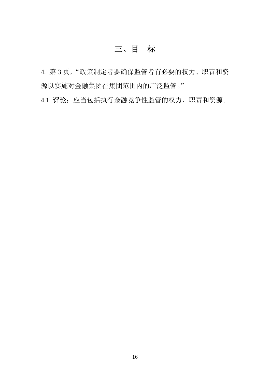## 三、目 标

<span id="page-18-0"></span>4. 第 3 页, "政策制定者要确保监管者有必要的权力、职责和资 源以实施对金融集团在集团范围内的广泛监管。"

4.1 评论:应当包括执行金融竞争性监管的权力、职责和资源。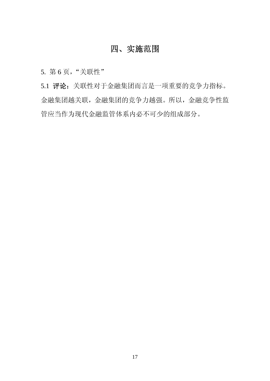## 四、实施范围

<span id="page-19-0"></span>5. 第 6 页,"关联性"

5.1 评论:关联性对于金融集团而言是一项重要的竞争力指标。 金融集团越关联,金融集团的竞争力越强。所以,金融竞争性监 管应当作为现代金融监管体系内必不可少的组成部分。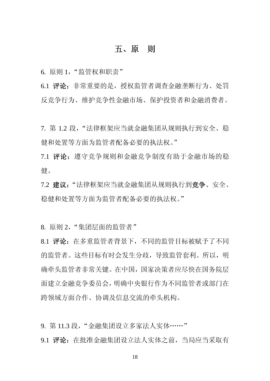#### 五、原 则

<span id="page-20-0"></span>6. 原则 1, "监管权和职责"

6.1 评论:非常重要的是,授权监管者调查金融垄断行为、处罚 反竞争行为、维护竞争性金融市场、保护投资者和金融消费者。

7. 第 1.2 段,"法律框架应当就金融集团从规则执行到安全、稳 健和处置等方面为监管者配备必要的执法权。"

7.1 评论:遵守竞争规则和金融竞争制度有助于金融市场的稳 健。

7.2 建议:"法律框架应当就金融集团从规则执行到竞争、安全、 稳健和处置等方面为监管者配备必要的执法权。"

8. 原则 2, "集团层面的监管者"

8.1 评论:在多重监管者背景下,不同的监管目标被赋予了不同 的监管者。这些目标有时会发生分歧,导致监管套利。所以,明 确牵头监管者非常关键。在中国,国家决策者应尽快在国务院层 面建立金融竞争委员会,明确中央银行作为不同监管者或部门在 跨领域方面合作、协调及信息交流的牵头机构。

9. 第 11.3 段, "金融集团设立多家法人实体……" 9.1 评论:在批准金融集团设立法人实体之前,当局应当采取有

18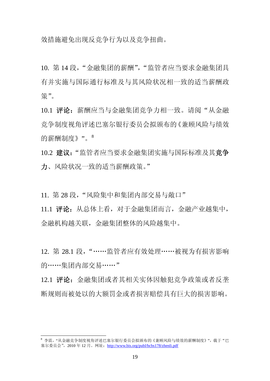效措施避免出现反竞争行为以及竞争扭曲。

10. 第 14 段, "金融集团的薪酬", "监管者应当要求金融集团具 有并实施与国际通行标准及与其风险状况相一致的适当薪酬政 策"。

10.1 评论:薪酬应当与金融集团竞争力相一致。请阅"从金融 竞争制度视角评述巴塞尔银行委员会拟颁布的《兼顾风险与绩效 的薪酬制度》"。[8](#page-21-0)

10.2 建议:"监管者应当要求金融集团实施与国际标准及其竞争 力、风险状况一致的适当薪酬政策。"

11. 第 28 段, "风险集中和集团内部交易与敞口"

11.1 评论:从总体上看,对于金融集团而言,金融产业越集中, 金融机构越关联,金融集团整体的风险越集中。

12. 第 28.1 段,"……监管者应有效处理……被视为有损害影响 的……集团内部交易……"

12.1 评论:金融集团或者其相关实体因触犯竞争政策或者反垄 断规则而被处以的大额罚金或者损害赔偿具有巨大的损害影响。

<span id="page-21-0"></span><sup>8</sup> 李震,"从金融竞争制度视角评述巴塞尔银行委员会拟颁布的《兼顾风险与绩效的薪酬制度》",载于"巴 塞尔委员会",2010 年 12 月。网址:<http://www.bis.org/publ/bcbs178/zhenli.pdf>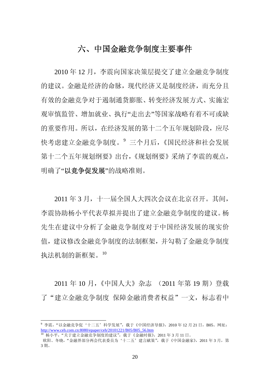## 六、中国金融竞争制度主要事件

<span id="page-22-0"></span>2010 年 12 月,李震向国家决策层提交了建立金融竞争制度 的建议。金融是经济的命脉,现代经济又是制度经济,而充分且 有效的金融竞争对于遏制通货膨胀、转变经济发展方式、实施宏 观审慎监管、增加就业、执行"走出去"等国家战略有着不可或缺 的重要作用。所以,在经济发展的第十二个五年规划阶段,应尽 快考虑建立金融竞争制度。[9](#page-22-1) 三个月后,《国民经济和社会发展 第十二个五年规划纲要》出台,《规划纲要》采纳了李震的观点, 明确了"以竞争促发展"的战略准则。

2011 年 3 月,十一届全国人大四次会议在北京召开。其间, 李震协助杨小平代表草拟并提出了建立金融竞争制度的建议。杨 先生在建议中分析了金融竞争制度对于中国经济发展的现实价 值,建议修改金融竞争制度的法制框架,并勾勒了金融竞争制度 执法机制的新框架。[10](#page-22-2)

2011 年 10 月, 《中国人大》杂志 (2011 年第 19 期) 登载 了"建立金融竞争制度 保障金融消费者权益"一文, 标志着中

<span id="page-22-1"></span> $^9$  李震,"以金融竞争促'十二五'科学发展",载于《中国经济导报》,2010 年 12 月 21 日,B05。网址: http://www.ceh.com.cn:8080/epaper/ceh/20101221/B05/B05\_56.htm

<span id="page-22-2"></span><sup>10</sup> 杨小平, "关于建立金融竞争制度的建议", 载于《金融时报》, 2011 年 3 月 11 日。

欧阳、冬晓, "金融界部分两会代表委员为'十二五'建言献策", 载于《中国金融家》, 2011 年 3 月, 第 3 期。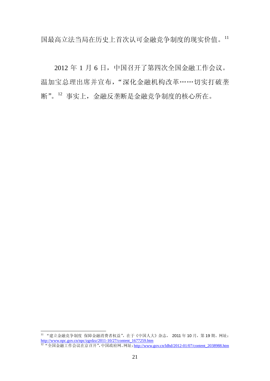国最高立法当局在历史上首次认可金融竞争制度的现实价值。[11](#page-23-0)

2012 年 1 月 6 日,中国召开了第四次全国金融工作会议。 温加宝总理出席并宣布, "深化金融机构改革……切实打破垄 断"。[12](#page-23-1) 事实上,金融反垄断是金融竞争制度的核心所在。

<span id="page-23-0"></span><sup>11 &</sup>quot;建立金融竞争制度 保障金融消费者权益",在于《中国人大》杂志, 2011年10月, 第19期。网址: [http://www.npc.gov.cn/npc/zgrdzz/2011-10/27/content\\_1677259.htm](http://www.npc.gov.cn/npc/zgrdzz/2011-10/27/content_1677259.htm)

<span id="page-23-1"></span><sup>12 &</sup>quot;全国金融工作会议在京召开",中国政府网。网址: [http://www.gov.cn/ldhd/2012-01/07/content\\_2038988.htm](http://www.gov.cn/ldhd/2012-01/07/content_2038988.htm)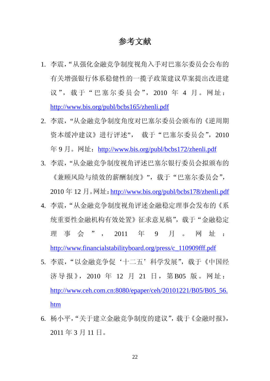### 参考文献

- <span id="page-24-0"></span>1. 李震,"从强化金融竞争制度视角入手对巴塞尔委员会公布的 有关增强银行体系稳健性的一揽子政策建议草案提出改进建 议",载于"巴塞尔委员会",2010 年 4 月。网址: <http://www.bis.org/publ/bcbs165/zhenli.pdf>
- 2. 李震, "从金融竞争制度角度对巴塞尔委员会颁布的《逆周期 资本缓冲建议》进行评述", 载于"巴塞尔委员会", 2010 年 9 月。网址:<http://www.bis.org/publ/bcbs172/zhenli.pdf>
- 3. 李震,"从金融竞争制度视角评述巴塞尔银行委员会拟颁布的 《兼顾风险与绩效的薪酬制度》",载于"巴塞尔委员会", 2010 年 12 月。网址:<http://www.bis.org/publ/bcbs178/zhenli.pdf>
- 4. 李震,"从金融竞争制度视角评述金融稳定理事会发布的《系 统重要性金融机构有效处置》征求意见稿",载于"金融稳定 理事会", 2011 年 9 月 。 网址:

[http://www.financialstabilityboard.org/press/c\\_110909fff.pdf](http://www.financialstabilityboard.org/press/c_110909fff.pdf)

- 5. 李震,"以金融竞争促'十二五'科学发展",载于《中国经 济导报》, 2010 年 12 月 21 日, 第B05 版。网址: [http://www.ceh.com.cn:8080/epaper/ceh/20101221/B05/B05\\_56.](http://www.ceh.com.cn:8080/epaper/ceh/20101221/B05/B05_56.htm) [htm](http://www.ceh.com.cn:8080/epaper/ceh/20101221/B05/B05_56.htm)
- 6. 杨小平,"关于建立金融竞争制度的建议",载于《金融时报》, 2011 年 3 月 11 日。